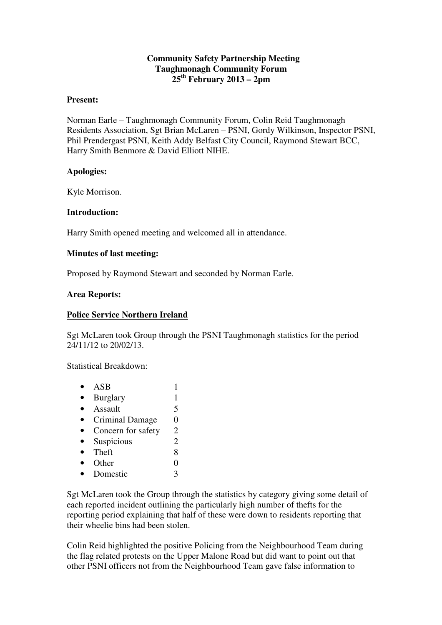## **Community Safety Partnership Meeting Taughmonagh Community Forum 25th February 2013 – 2pm**

### **Present:**

Norman Earle – Taughmonagh Community Forum, Colin Reid Taughmonagh Residents Association, Sgt Brian McLaren – PSNI, Gordy Wilkinson, Inspector PSNI, Phil Prendergast PSNI, Keith Addy Belfast City Council, Raymond Stewart BCC, Harry Smith Benmore & David Elliott NIHE.

## **Apologies:**

Kyle Morrison.

## **Introduction:**

Harry Smith opened meeting and welcomed all in attendance.

## **Minutes of last meeting:**

Proposed by Raymond Stewart and seconded by Norman Earle.

#### **Area Reports:**

#### **Police Service Northern Ireland**

Sgt McLaren took Group through the PSNI Taughmonagh statistics for the period 24/11/12 to 20/02/13.

Statistical Breakdown:

| ASB                    |   |
|------------------------|---|
| <b>Burglary</b>        | 1 |
| Assault                | 5 |
| <b>Criminal Damage</b> | 0 |
| Concern for safety     | 2 |
| Suspicious             | 2 |
| Theft                  | 8 |
| Other                  |   |
| Domestic               | 3 |
|                        |   |

Sgt McLaren took the Group through the statistics by category giving some detail of each reported incident outlining the particularly high number of thefts for the reporting period explaining that half of these were down to residents reporting that their wheelie bins had been stolen.

Colin Reid highlighted the positive Policing from the Neighbourhood Team during the flag related protests on the Upper Malone Road but did want to point out that other PSNI officers not from the Neighbourhood Team gave false information to